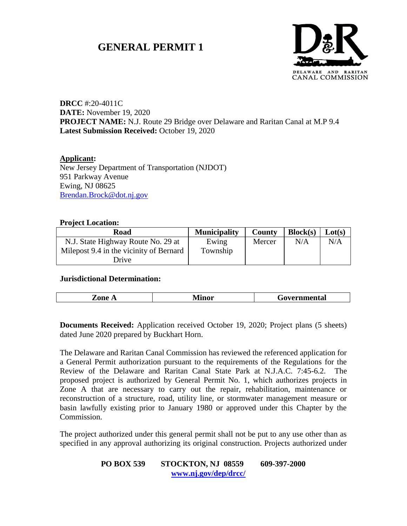# **GENERAL PERMIT 1**



**DRCC** #:20-4011C **DATE:** November 19, 2020 **PROJECT NAME:** N.J. Route 29 Bridge over Delaware and Raritan Canal at M.P 9.4 **Latest Submission Received:** October 19, 2020

**Applicant:** New Jersey Department of Transportation (NJDOT) 951 Parkway Avenue Ewing, NJ 08625 [Brendan.Brock@dot.nj.gov](mailto:Brendan.Brock@dot.nj.gov)

#### **Project Location:**

| Road                                    | <b>Municipality</b> | <b>County</b> | Block(s) | Lot(s) |
|-----------------------------------------|---------------------|---------------|----------|--------|
| N.J. State Highway Route No. 29 at      | Ewing               | Mercer        | N/A      | N/A    |
| Milepost 9.4 in the vicinity of Bernard | Township            |               |          |        |
| Drive                                   |                     |               |          |        |

### **Jurisdictional Determination:**

| .<br>nne<br>nmental<br><b>TATHTOL</b><br>$\sim$ |
|-------------------------------------------------|
|-------------------------------------------------|

**Documents Received:** Application received October 19, 2020; Project plans (5 sheets) dated June 2020 prepared by Buckhart Horn.

The Delaware and Raritan Canal Commission has reviewed the referenced application for a General Permit authorization pursuant to the requirements of the Regulations for the Review of the Delaware and Raritan Canal State Park at N.J.A.C. 7:45-6.2. The proposed project is authorized by General Permit No. 1, which authorizes projects in Zone A that are necessary to carry out the repair, rehabilitation, maintenance or reconstruction of a structure, road, utility line, or stormwater management measure or basin lawfully existing prior to January 1980 or approved under this Chapter by the Commission.

The project authorized under this general permit shall not be put to any use other than as specified in any approval authorizing its original construction. Projects authorized under

# **PO BOX 539 STOCKTON, NJ 08559 609-397-2000 [www.nj.gov/dep/drcc/](http://www.nj.gov/dep/drcc/)**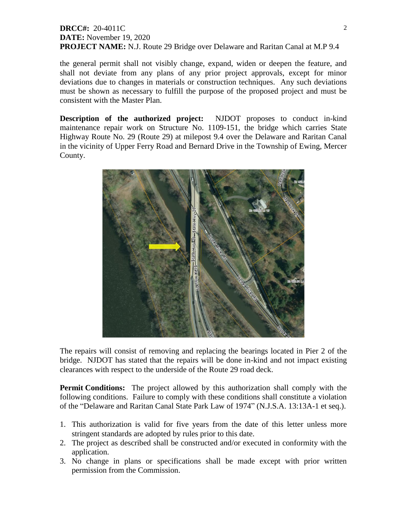# **DRCC#:** 20-4011C **DATE:** November 19, 2020 **PROJECT NAME:** N.J. Route 29 Bridge over Delaware and Raritan Canal at M.P 9.4

the general permit shall not visibly change, expand, widen or deepen the feature, and shall not deviate from any plans of any prior project approvals, except for minor deviations due to changes in materials or construction techniques. Any such deviations must be shown as necessary to fulfill the purpose of the proposed project and must be consistent with the Master Plan.

**Description of the authorized project:** NJDOT proposes to conduct in-kind maintenance repair work on Structure No. 1109-151, the bridge which carries State Highway Route No. 29 (Route 29) at milepost 9.4 over the Delaware and Raritan Canal in the vicinity of Upper Ferry Road and Bernard Drive in the Township of Ewing, Mercer County.



The repairs will consist of removing and replacing the bearings located in Pier 2 of the bridge. NJDOT has stated that the repairs will be done in-kind and not impact existing clearances with respect to the underside of the Route 29 road deck.

**Permit Conditions:** The project allowed by this authorization shall comply with the following conditions. Failure to comply with these conditions shall constitute a violation of the "Delaware and Raritan Canal State Park Law of 1974" (N.J.S.A. 13:13A-1 et seq.).

- 1. This authorization is valid for five years from the date of this letter unless more stringent standards are adopted by rules prior to this date.
- 2. The project as described shall be constructed and/or executed in conformity with the application.
- 3. No change in plans or specifications shall be made except with prior written permission from the Commission.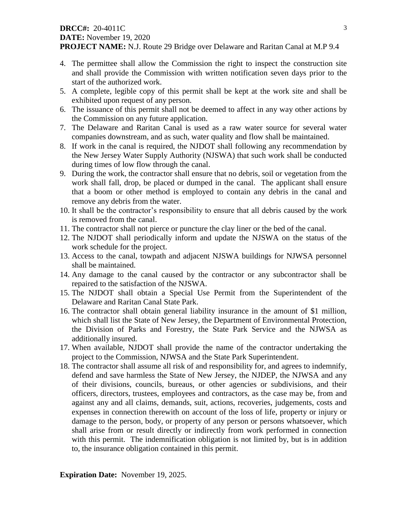# **DRCC#:** 20-4011C **DATE:** November 19, 2020

**PROJECT NAME:** N.J. Route 29 Bridge over Delaware and Raritan Canal at M.P 9.4

- 4. The permittee shall allow the Commission the right to inspect the construction site and shall provide the Commission with written notification seven days prior to the start of the authorized work.
- 5. A complete, legible copy of this permit shall be kept at the work site and shall be exhibited upon request of any person.
- 6. The issuance of this permit shall not be deemed to affect in any way other actions by the Commission on any future application.
- 7. The Delaware and Raritan Canal is used as a raw water source for several water companies downstream, and as such, water quality and flow shall be maintained.
- 8. If work in the canal is required, the NJDOT shall following any recommendation by the New Jersey Water Supply Authority (NJSWA) that such work shall be conducted during times of low flow through the canal.
- 9. During the work, the contractor shall ensure that no debris, soil or vegetation from the work shall fall, drop, be placed or dumped in the canal. The applicant shall ensure that a boom or other method is employed to contain any debris in the canal and remove any debris from the water.
- 10. It shall be the contractor's responsibility to ensure that all debris caused by the work is removed from the canal.
- 11. The contractor shall not pierce or puncture the clay liner or the bed of the canal.
- 12. The NJDOT shall periodically inform and update the NJSWA on the status of the work schedule for the project.
- 13. Access to the canal, towpath and adjacent NJSWA buildings for NJWSA personnel shall be maintained.
- 14. Any damage to the canal caused by the contractor or any subcontractor shall be repaired to the satisfaction of the NJSWA.
- 15. The NJDOT shall obtain a Special Use Permit from the Superintendent of the Delaware and Raritan Canal State Park.
- 16. The contractor shall obtain general liability insurance in the amount of \$1 million, which shall list the State of New Jersey, the Department of Environmental Protection, the Division of Parks and Forestry, the State Park Service and the NJWSA as additionally insured.
- 17. When available, NJDOT shall provide the name of the contractor undertaking the project to the Commission, NJWSA and the State Park Superintendent.
- 18. The contractor shall assume all risk of and responsibility for, and agrees to indemnify, defend and save harmless the State of New Jersey, the NJDEP, the NJWSA and any of their divisions, councils, bureaus, or other agencies or subdivisions, and their officers, directors, trustees, employees and contractors, as the case may be, from and against any and all claims, demands, suit, actions, recoveries, judgements, costs and expenses in connection therewith on account of the loss of life, property or injury or damage to the person, body, or property of any person or persons whatsoever, which shall arise from or result directly or indirectly from work performed in connection with this permit. The indemnification obligation is not limited by, but is in addition to, the insurance obligation contained in this permit.

**Expiration Date:** November 19, 2025.